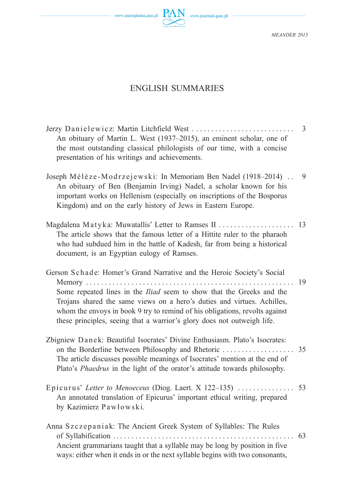## ENGLISH SUMMARIES

| An obituary of Martin L. West (1937–2015), an eminent scholar, one of<br>the most outstanding classical philologists of our time, with a concise<br>presentation of his writings and achievements.                                                                                                                                                                                                    | 3  |
|-------------------------------------------------------------------------------------------------------------------------------------------------------------------------------------------------------------------------------------------------------------------------------------------------------------------------------------------------------------------------------------------------------|----|
| Joseph Mélèze-Modrzejewski: In Memoriam Ben Nadel (1918-2014).<br>An obituary of Ben (Benjamin Irving) Nadel, a scholar known for his<br>important works on Hellenism (especially on inscriptions of the Bosporus<br>Kingdom) and on the early history of Jews in Eastern Europe.                                                                                                                     | 9  |
| Magdalena Matyka: Muwatallis' Letter to Ramses II<br>The article shows that the famous letter of a Hittite ruler to the pharaoh<br>who had subdued him in the battle of Kadesh, far from being a historical<br>document, is an Egyptian eulogy of Ramses.                                                                                                                                             | 13 |
| Gerson Schade: Homer's Grand Narrative and the Heroic Society's Social<br>Memory<br>Some repeated lines in the <i>Iliad</i> seem to show that the Greeks and the<br>Trojans shared the same views on a hero's duties and virtues. Achilles,<br>whom the envoys in book 9 try to remind of his obligations, revolts against<br>these principles, seeing that a warrior's glory does not outweigh life. | 19 |
| Zbigniew Danek: Beautiful Isocrates' Divine Enthusiasm. Plato's Isocrates:<br>The article discusses possible meanings of Isocrates' mention at the end of<br>Plato's Phaedrus in the light of the orator's attitude towards philosophy.                                                                                                                                                               | 35 |
| Epicurus' Letter to Menoeceus (Diog. Laert. X 122-135)<br>An annotated translation of Epicurus' important ethical writing, prepared<br>by Kazimierz Pawłowski.                                                                                                                                                                                                                                        | 53 |
| Anna Szczepaniak: The Ancient Greek System of Syllables: The Rules<br>Ancient grammarians taught that a syllable may be long by position in five<br>ways: either when it ends in or the next syllable begins with two consonants,                                                                                                                                                                     | 63 |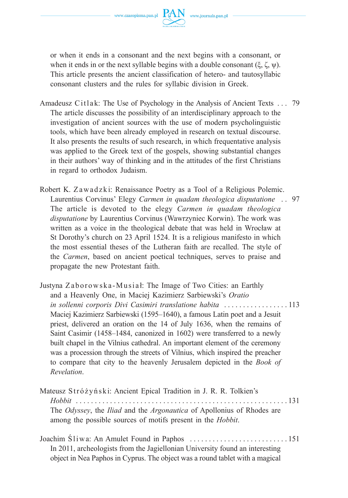

or when it ends in a consonant and the next begins with a consonant, or when it ends in or the next syllable begins with a double consonant  $(\xi, \zeta, \psi)$ . This article presents the ancient classification of hetero- and tautosyllabic consonant clusters and the rules for syllabic division in Greek.

- Amadeusz Citlak: The Use of Psychology in the Analysis of Ancient Texts  $\dots$  79 The article discusses the possibility of an interdisciplinary approach to the investigation of ancient sources with the use of modern psycholinguistic tools, which have been already employed in research on textual discourse. It also presents the results of such research, in which frequentative analysis was applied to the Greek text of the gospels, showing substantial changes in their authors' way of thinking and in the attitudes of the first Christians in regard to orthodox Judaism.
- Robert K. Zawadzki: Renaissance Poetry as a Tool of a Religious Polemic. Laurentius Corvinus' Elegy *Carmen in quadam theologica disputatione* . . 97 The article is devoted to the elegy *Carmen in quadam theologica disputatione* by Laurentius Corvinus (Wawrzyniec Korwin). The work was written as a voice in the theological debate that was held in Wrocław at St Dorothy's church on 23 April 1524. It is a religious manifesto in which the most essential theses of the Lutheran faith are recalled. The style of the *Carmen*, based on ancient poetical techniques, serves to praise and propagate the new Protestant faith.
- Justyna Zaborowska-Musia ł: The Image of Two Cities: an Earthly and a Heavenly One, in Maciej Kazimierz Sarbiewski's *Oratio in sollenni corporis Divi Casimiri translatione habita* . . . . . . . . . . . . . . . . . 113 Maciej Kazimierz Sarbiewski (1595–1640), a famous Latin poet and a Jesuit priest, delivered an oration on the 14 of July 1636, when the remains of Saint Casimir (1458–1484, canonized in 1602) were transferred to a newly built chapel in the Vilnius cathedral. An important element of the ceremony was a procession through the streets of Vilnius, which inspired the preacher to compare that city to the heavenly Jerusalem depicted in the *Book of Revelation*.
- Mateusz Stróżyński: Ancient Epical Tradition in J. R. R. Tolkien's *Hobbit* . . . . . . . . . . . . . . . . . . . . . . . . . . . . . . . . . . . . . . . . . . . . . . . . . . . . . . . . 131 The *Odyssey*, the *Iliad* and the *Argonautica* of Apollonius of Rhodes are among the possible sources of motifs present in the *Hobbit*.
- Joachim Śl i w a: An Amulet Found in Paphos . . . . . . . . . . . . . . . . . . . . . . . . . . 151 In 2011, archeologists from the Jagiellonian University found an interesting object in Nea Paphos in Cyprus. The object was a round tablet with a magical